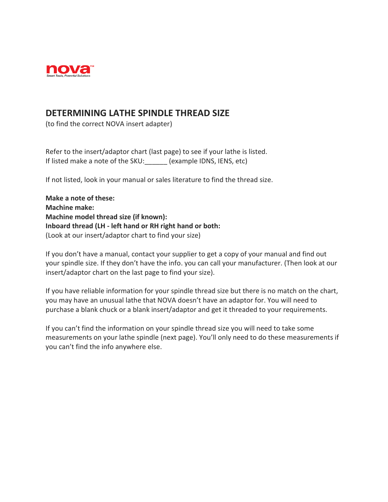

## **DETERMINING LATHE SPINDLE THREAD SIZE**

(to find the correct NOVA insert adapter)

Refer to the insert/adaptor chart (last page) to see if your lathe is listed. If listed make a note of the SKU: (example IDNS, IENS, etc)

If not listed, look in your manual or sales literature to find the thread size.

**Make a note of these: Machine make: Machine model thread size (if known): Inboard thread (LH - left hand or RH right hand or both:** (Look at our insert/adaptor chart to find your size)

If you don't have a manual, contact your supplier to get a copy of your manual and find out your spindle size. If they don't have the info. you can call your manufacturer. (Then look at our insert/adaptor chart on the last page to find your size).

If you have reliable information for your spindle thread size but there is no match on the chart, you may have an unusual lathe that NOVA doesn't have an adaptor for. You will need to purchase a blank chuck or a blank insert/adaptor and get it threaded to your requirements.

If you can't find the information on your spindle thread size you will need to take some measurements on your lathe spindle (next page). You'll only need to do these measurements if you can't find the info anywhere else.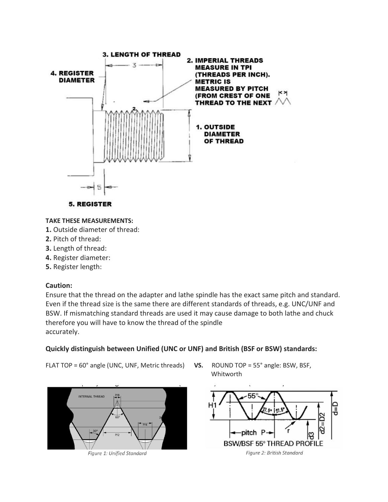



## **TAKE THESE MEASUREMENTS:**

- **1.** Outside diameter of thread:
- **2.** Pitch of thread:
- **3.** Length of thread:
- **4.** Register diameter:
- **5.** Register length:

## **Caution:**

Ensure that the thread on the adapter and lathe spindle has the exact same pitch and standard. Even if the thread size is the same there are different standards of threads, e.g. UNC/UNF and BSW. If mismatching standard threads are used it may cause damage to both lathe and chuck therefore you will have to know the thread of the spindle accurately.

## **Quickly distinguish between Unified (UNC or UNF) and British (BSF or BSW) standards:**

FLAT TOP = 60° angle (UNC, UNF, Metric threads) **VS.** ROUND TOP = 55° angle: BSW, BSF,



Figure 1: Unified Standard

Whitworth